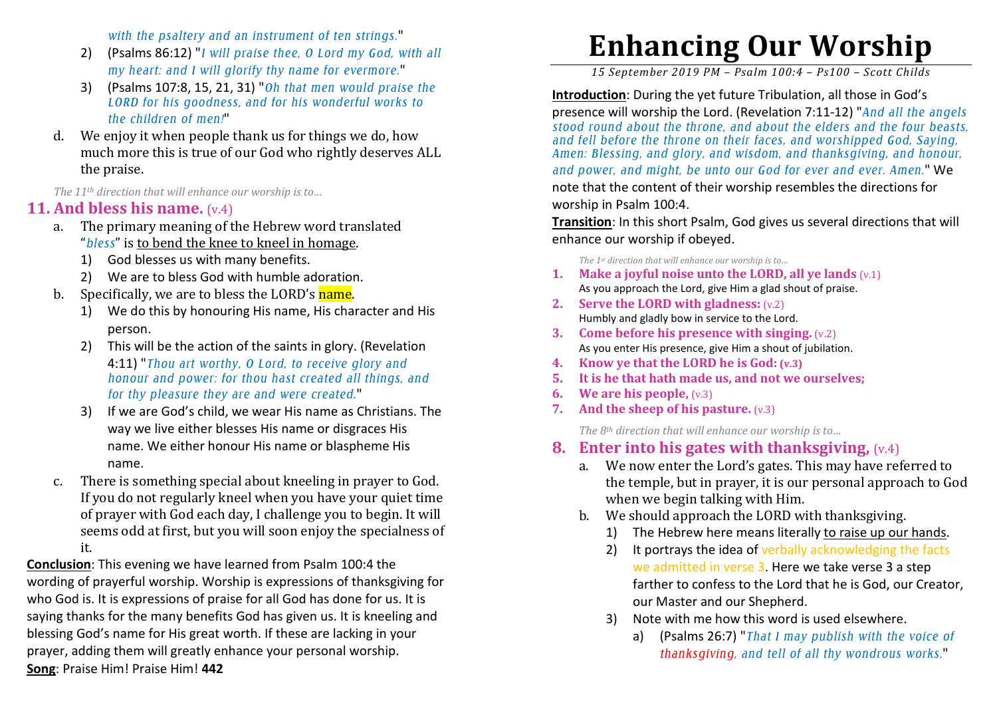*with the psaltery and an instrument of ten strings.*"

- 2) (Psalms 86:12) "*I will praise thee, O Lord my God, with all my heart: and I will glorify thy name for evermore.*"
- 3) (Psalms 107:8, 15, 21, 31) "*Oh that men would praise the LORD for his goodness, and for his wonderful works to the children of men!*"
- d. We enjoy it when people thank us for things we do, how much more this is true of our God who rightly deserves ALL the praise.

*The 11th direction that will enhance our worship is to…* 

## **11. And bless his name.** (v.4)

- The primary meaning of the Hebrew word translated a."*bless*" is to bend the knee to kneel in homage.
	- 1) God blesses us with many benefits.
	- 2) We are to bless God with humble adoration.
- b. Specifically, we are to bless the LORD's <mark>name</mark>.
	- 1) We do this by honouring His name, His character and His person.
	- 2) This will be the action of the saints in glory. (Revelation 4:11) "*Thou art worthy, O Lord, to receive glory and honour and power: for thou hast created all things, and for thy pleasure they are and were created.*"
	- 3) If we are God's child, we wear His name as Christians. The way we live either blesses His name or disgraces His name. We either honour His name or blaspheme His name.
- c. There is something special about kneeling in prayer to God. If you do not regularly kneel when you have your quiet time of prayer with God each day, I challenge you to begin. It will seems odd at first, but you will soon enjoy the specialness of it.

**Conclusion**: This evening we have learned from Psalm 100:4 the wording of prayerful worship. Worship is expressions of thanksgiving for who God is. It is expressions of praise for all God has done for us. It is saying thanks for the many benefits God has given us. It is kneeling and blessing God's name for His great worth. If these are lacking in your prayer, adding them will greatly enhance your personal worship. **Song**: Praise Him! Praise Him! **442** 

## **Enhancing Our Worship**

*15 September 2019 PM – Psalm 100:4 – Ps100 – Scott Childs* 

**Introduction**: During the yet future Tribulation, all those in God's presence will worship the Lord. (Revelation 7:11-12) "*And all the angels stood round about the throne, and about the elders and the four beasts, and fell before the throne on their faces, and worshipped God, Saying, Amen: Blessing, and glory, and wisdom, and thanksgiving, and honour, and power, and might, be unto our God for ever and ever. Amen.*" We note that the content of their worship resembles the directions for worship in Psalm 100:4.

**Transition**: In this short Psalm, God gives us several directions that will enhance our worship if obeyed.

*The 1st direction that will enhance our worship is to…* 

- **1. Make a joyful noise unto the LORD, all ye lands** (v.1)As you approach the Lord, give Him a glad shout of praise.
- **2. Serve the LORD with gladness:** (v.2)Humbly and gladly bow in service to the Lord.
- **3. Come before his presence with singing.** (v.2)As you enter His presence, give Him a shout of jubilation.
- **4. Know ye that the LORD he is God: (v.3)**
- **5. It is he that hath made us, and not we ourselves;**
- **6. We are his people,** (v.3)
- **7. And the sheep of his pasture.** (v.3)

*The 8th direction that will enhance our worship is to…* 

- **8. Enter into his gates with thanksgiving,** (v.4)
	- a. We now enter the Lord's gates. This may have referred to the temple, but in prayer, it is our personal approach to God when we begin talking with Him.
	- b. We should approach the LORD with thanksgiving.
		- 1) The Hebrew here means literally <u>to raise up our hands</u>.
		- 2) It portrays the idea of verbally acknowledging the facts we admitted in verse 3. Here we take verse 3 a step farther to confess to the Lord that he is God, our Creator, our Master and our Shepherd.
		- 3) Note with me how this word is used elsewhere.
			- a) (Psalms 26:7) "*That I may publish with the voice of thanksgiving, and tell of all thy wondrous works.*"